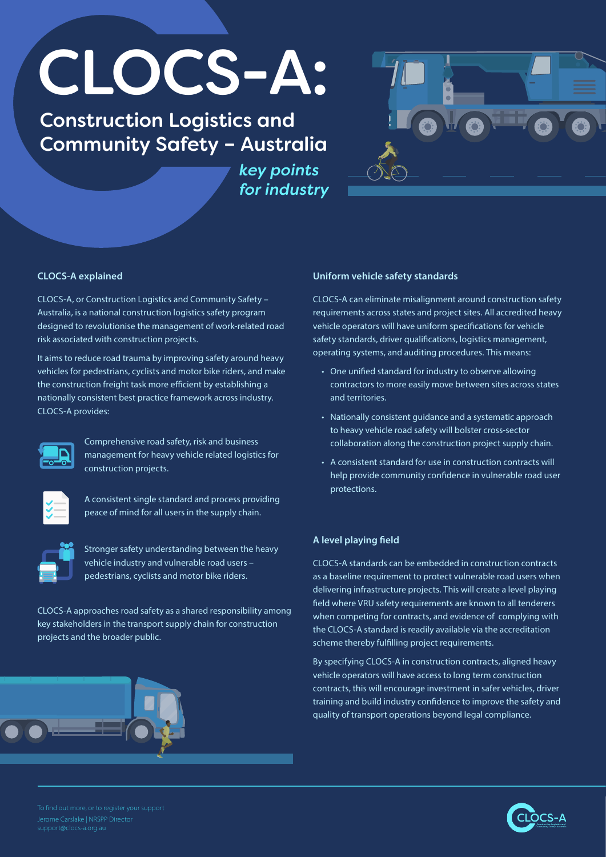# CLOCS-A:

Construction Logistics and Community Safety – Australia

> *key points for industry*



CLOCS-A, or Construction Logistics and Community Safety – Australia, is a national construction logistics safety program designed to revolutionise the management of work-related road risk associated with construction projects.

It aims to reduce road trauma by improving safety around heavy vehicles for pedestrians, cyclists and motor bike riders, and make the construction freight task more efficient by establishing a nationally consistent best practice framework across industry. CLOCS-A provides:



Comprehensive road safety, risk and business management for heavy vehicle related logistics for construction projects.



A consistent single standard and process providing peace of mind for all users in the supply chain.

Stronger safety understanding between the heavy vehicle industry and vulnerable road users – pedestrians, cyclists and motor bike riders.

CLOCS-A approaches road safety as a shared responsibility among key stakeholders in the transport supply chain for construction projects and the broader public.



## **CLOCS-A explained Uniform vehicle safety standards**

CLOCS-A can eliminate misalignment around construction safety requirements across states and project sites. All accredited heavy vehicle operators will have uniform specifications for vehicle safety standards, driver qualifications, logistics management, operating systems, and auditing procedures. This means:

- One unified standard for industry to observe allowing contractors to more easily move between sites across states and territories.
- Nationally consistent guidance and a systematic approach to heavy vehicle road safety will bolster cross-sector collaboration along the construction project supply chain.
- A consistent standard for use in construction contracts will help provide community confidence in vulnerable road user protections.

# **A level playing field**

CLOCS-A standards can be embedded in construction contracts as a baseline requirement to protect vulnerable road users when delivering infrastructure projects. This will create a level playing field where VRU safety requirements are known to all tenderers when competing for contracts, and evidence of complying with the CLOCS-A standard is readily available via the accreditation scheme thereby fulfilling project requirements.

By specifying CLOCS-A in construction contracts, aligned heavy vehicle operators will have access to long term construction contracts, this will encourage investment in safer vehicles, driver training and build industry confidence to improve the safety and quality of transport operations beyond legal compliance.